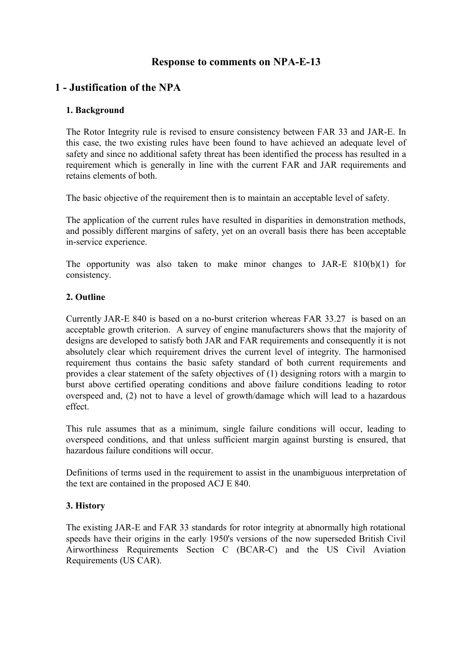# **Response to comments on NPA-E-13**

# **1 - Justification of the NPA**

#### **1. Background**

The Rotor Integrity rule is revised to ensure consistency between FAR 33 and JAR-E. In this case, the two existing rules have been found to have achieved an adequate level of safety and since no additional safety threat has been identified the process has resulted in a requirement which is generally in line with the current FAR and JAR requirements and retains elements of both.

The basic objective of the requirement then is to maintain an acceptable level of safety.

The application of the current rules have resulted in disparities in demonstration methods, and possibly different margins of safety, yet on an overall basis there has been acceptable in-service experience.

The opportunity was also taken to make minor changes to JAR-E  $810(b)(1)$  for consistency.

#### **2. Outline**

Currently JAR-E 840 is based on a no-burst criterion whereas FAR 33.27 is based on an acceptable growth criterion. A survey of engine manufacturers shows that the majority of designs are developed to satisfy both JAR and FAR requirements and consequently it is not absolutely clear which requirement drives the current level of integrity. The harmonised requirement thus contains the basic safety standard of both current requirements and provides a clear statement of the safety objectives of (1) designing rotors with a margin to burst above certified operating conditions and above failure conditions leading to rotor overspeed and, (2) not to have a level of growth/damage which will lead to a hazardous effect.

This rule assumes that as a minimum, single failure conditions will occur, leading to overspeed conditions, and that unless sufficient margin against bursting is ensured, that hazardous failure conditions will occur.

Definitions of terms used in the requirement to assist in the unambiguous interpretation of the text are contained in the proposed ACJ E 840.

### **3. History**

The existing JAR-E and FAR 33 standards for rotor integrity at abnormally high rotational speeds have their origins in the early 1950's versions of the now superseded British Civil Airworthiness Requirements Section C (BCAR-C) and the US Civil Aviation Requirements (US CAR).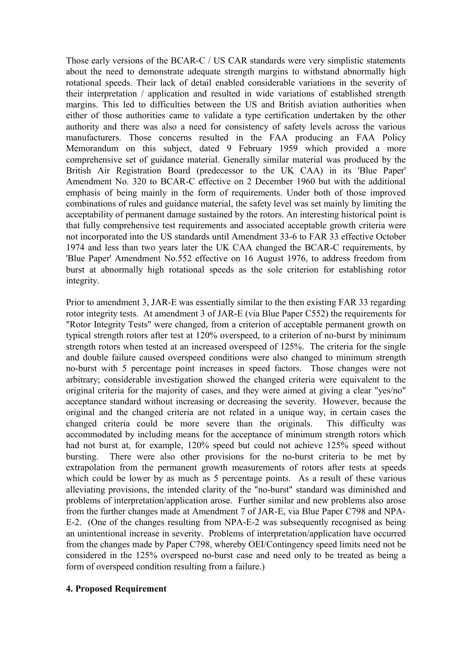Those early versions of the BCAR-C / US CAR standards were very simplistic statements about the need to demonstrate adequate strength margins to withstand abnormally high rotational speeds. Their lack of detail enabled considerable variations in the severity of their interpretation / application and resulted in wide variations of established strength margins. This led to difficulties between the US and British aviation authorities when either of those authorities came to validate a type certification undertaken by the other authority and there was also a need for consistency of safety levels across the various manufacturers. Those concerns resulted in the FAA producing an FAA Policy Memorandum on this subject, dated 9 February 1959 which provided a more comprehensive set of guidance material. Generally similar material was produced by the British Air Registration Board (predecessor to the UK CAA) in its 'Blue Paper' Amendment No. 320 to BCAR-C effective on 2 December 1960 but with the additional emphasis of being mainly in the form of requirements. Under both of those improved combinations of rules and guidance material, the safety level was set mainly by limiting the acceptability of permanent damage sustained by the rotors. An interesting historical point is that fully comprehensive test requirements and associated acceptable growth criteria were not incorporated into the US standards until Amendment 33-6 to FAR 33 effective October 1974 and less than two years later the UK CAA changed the BCAR-C requirements, by 'Blue Paper' Amendment No.552 effective on 16 August 1976, to address freedom from burst at abnormally high rotational speeds as the sole criterion for establishing rotor integrity.

Prior to amendment 3, JAR-E was essentially similar to the then existing FAR 33 regarding rotor integrity tests. At amendment 3 of JAR-E (via Blue Paper C552) the requirements for "Rotor Integrity Tests" were changed, from a criterion of acceptable permanent growth on typical strength rotors after test at 120% overspeed, to a criterion of no-burst by minimum strength rotors when tested at an increased overspeed of 125%. The criteria for the single and double failure caused overspeed conditions were also changed to minimum strength no-burst with 5 percentage point increases in speed factors. Those changes were not arbitrary; considerable investigation showed the changed criteria were equivalent to the original criteria for the majority of cases, and they were aimed at giving a clear "yes/no" acceptance standard without increasing or decreasing the severity. However, because the original and the changed criteria are not related in a unique way, in certain cases the changed criteria could be more severe than the originals. This difficulty was accommodated by including means for the acceptance of minimum strength rotors which had not burst at, for example, 120% speed but could not achieve 125% speed without bursting. There were also other provisions for the no-burst criteria to be met by extrapolation from the permanent growth measurements of rotors after tests at speeds which could be lower by as much as 5 percentage points. As a result of these various alleviating provisions, the intended clarity of the "no-burst" standard was diminished and problems of interpretation/application arose. Further similar and new problems also arose from the further changes made at Amendment 7 of JAR-E, via Blue Paper C798 and NPA-E-2. (One of the changes resulting from NPA-E-2 was subsequently recognised as being an unintentional increase in severity. Problems of interpretation/application have occurred from the changes made by Paper C798, whereby OEI/Contingency speed limits need not be considered in the 125% overspeed no-burst case and need only to be treated as being a form of overspeed condition resulting from a failure.)

#### **4. Proposed Requirement**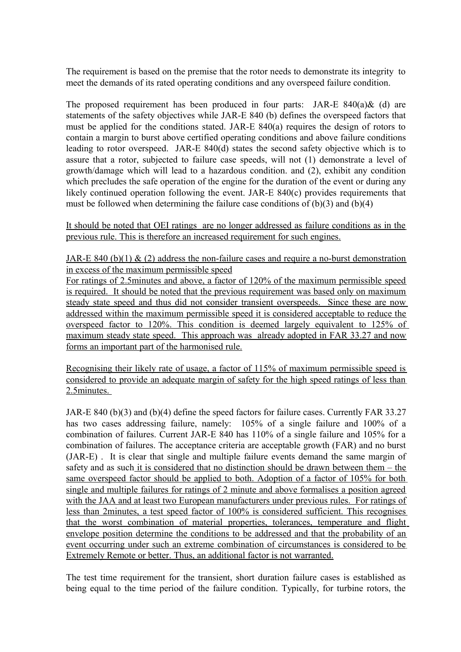The requirement is based on the premise that the rotor needs to demonstrate its integrity to meet the demands of its rated operating conditions and any overspeed failure condition.

The proposed requirement has been produced in four parts: JAR-E  $840(a)$ & (d) are statements of the safety objectives while JAR-E 840 (b) defines the overspeed factors that must be applied for the conditions stated. JAR-E 840(a) requires the design of rotors to contain a margin to burst above certified operating conditions and above failure conditions leading to rotor overspeed. JAR-E 840(d) states the second safety objective which is to assure that a rotor, subjected to failure case speeds, will not (1) demonstrate a level of growth/damage which will lead to a hazardous condition. and (2), exhibit any condition which precludes the safe operation of the engine for the duration of the event or during any likely continued operation following the event. JAR-E 840(c) provides requirements that must be followed when determining the failure case conditions of (b)(3) and (b)(4)

It should be noted that OEI ratings are no longer addressed as failure conditions as in the previous rule. This is therefore an increased requirement for such engines.

JAR-E 840 (b)(1)  $\&$  (2) address the non-failure cases and require a no-burst demonstration in excess of the maximum permissible speed

For ratings of 2.5minutes and above, a factor of 120% of the maximum permissible speed is required. It should be noted that the previous requirement was based only on maximum steady state speed and thus did not consider transient overspeeds. Since these are now addressed within the maximum permissible speed it is considered acceptable to reduce the overspeed factor to 120%. This condition is deemed largely equivalent to 125% of maximum steady state speed. This approach was already adopted in FAR 33.27 and now forms an important part of the harmonised rule.

Recognising their likely rate of usage, a factor of 115% of maximum permissible speed is considered to provide an adequate margin of safety for the high speed ratings of less than 2.5minutes.

JAR-E 840 (b)(3) and (b)(4) define the speed factors for failure cases. Currently FAR 33.27 has two cases addressing failure, namely: 105% of a single failure and 100% of a combination of failures. Current JAR-E 840 has 110% of a single failure and 105% for a combination of failures. The acceptance criteria are acceptable growth (FAR) and no burst (JAR-E) . It is clear that single and multiple failure events demand the same margin of safety and as such it is considered that no distinction should be drawn between them – the same overspeed factor should be applied to both. Adoption of a factor of 105% for both single and multiple failures for ratings of 2 minute and above formalises a position agreed with the JAA and at least two European manufacturers under previous rules. For ratings of less than 2minutes, a test speed factor of 100% is considered sufficient. This recognises that the worst combination of material properties, tolerances, temperature and flight envelope position determine the conditions to be addressed and that the probability of an event occurring under such an extreme combination of circumstances is considered to be Extremely Remote or better. Thus, an additional factor is not warranted.

The test time requirement for the transient, short duration failure cases is established as being equal to the time period of the failure condition. Typically, for turbine rotors, the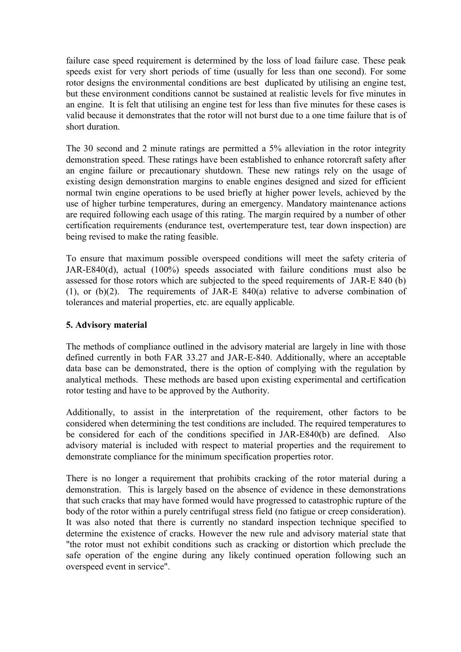failure case speed requirement is determined by the loss of load failure case. These peak speeds exist for very short periods of time (usually for less than one second). For some rotor designs the environmental conditions are best duplicated by utilising an engine test, but these environment conditions cannot be sustained at realistic levels for five minutes in an engine. It is felt that utilising an engine test for less than five minutes for these cases is valid because it demonstrates that the rotor will not burst due to a one time failure that is of short duration.

The 30 second and 2 minute ratings are permitted a 5% alleviation in the rotor integrity demonstration speed. These ratings have been established to enhance rotorcraft safety after an engine failure or precautionary shutdown. These new ratings rely on the usage of existing design demonstration margins to enable engines designed and sized for efficient normal twin engine operations to be used briefly at higher power levels, achieved by the use of higher turbine temperatures, during an emergency. Mandatory maintenance actions are required following each usage of this rating. The margin required by a number of other certification requirements (endurance test, overtemperature test, tear down inspection) are being revised to make the rating feasible.

To ensure that maximum possible overspeed conditions will meet the safety criteria of JAR-E840(d), actual (100%) speeds associated with failure conditions must also be assessed for those rotors which are subjected to the speed requirements of JAR-E 840 (b) (1), or  $(b)(2)$ . The requirements of JAR-E 840(a) relative to adverse combination of tolerances and material properties, etc. are equally applicable.

### **5. Advisory material**

The methods of compliance outlined in the advisory material are largely in line with those defined currently in both FAR 33.27 and JAR-E-840. Additionally, where an acceptable data base can be demonstrated, there is the option of complying with the regulation by analytical methods. These methods are based upon existing experimental and certification rotor testing and have to be approved by the Authority.

Additionally, to assist in the interpretation of the requirement, other factors to be considered when determining the test conditions are included. The required temperatures to be considered for each of the conditions specified in JAR-E840(b) are defined. Also advisory material is included with respect to material properties and the requirement to demonstrate compliance for the minimum specification properties rotor.

There is no longer a requirement that prohibits cracking of the rotor material during a demonstration. This is largely based on the absence of evidence in these demonstrations that such cracks that may have formed would have progressed to catastrophic rupture of the body of the rotor within a purely centrifugal stress field (no fatigue or creep consideration). It was also noted that there is currently no standard inspection technique specified to determine the existence of cracks. However the new rule and advisory material state that "the rotor must not exhibit conditions such as cracking or distortion which preclude the safe operation of the engine during any likely continued operation following such an overspeed event in service".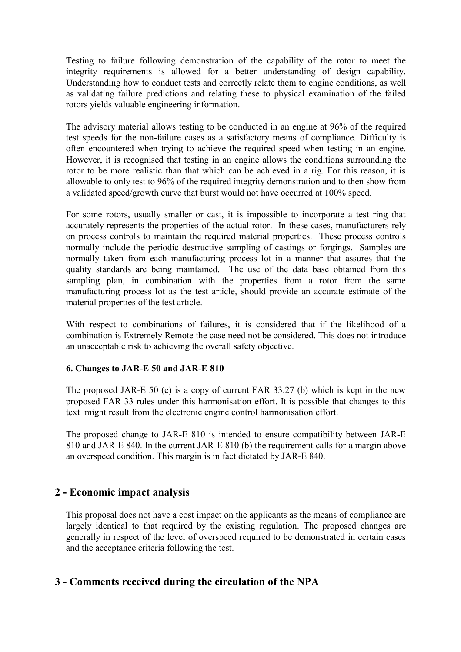Testing to failure following demonstration of the capability of the rotor to meet the integrity requirements is allowed for a better understanding of design capability. Understanding how to conduct tests and correctly relate them to engine conditions, as well as validating failure predictions and relating these to physical examination of the failed rotors yields valuable engineering information.

The advisory material allows testing to be conducted in an engine at 96% of the required test speeds for the non-failure cases as a satisfactory means of compliance. Difficulty is often encountered when trying to achieve the required speed when testing in an engine. However, it is recognised that testing in an engine allows the conditions surrounding the rotor to be more realistic than that which can be achieved in a rig. For this reason, it is allowable to only test to 96% of the required integrity demonstration and to then show from a validated speed/growth curve that burst would not have occurred at 100% speed.

For some rotors, usually smaller or cast, it is impossible to incorporate a test ring that accurately represents the properties of the actual rotor. In these cases, manufacturers rely on process controls to maintain the required material properties. These process controls normally include the periodic destructive sampling of castings or forgings. Samples are normally taken from each manufacturing process lot in a manner that assures that the quality standards are being maintained. The use of the data base obtained from this sampling plan, in combination with the properties from a rotor from the same manufacturing process lot as the test article, should provide an accurate estimate of the material properties of the test article.

With respect to combinations of failures, it is considered that if the likelihood of a combination is Extremely Remote the case need not be considered. This does not introduce an unacceptable risk to achieving the overall safety objective.

### **6. Changes to JAR-E 50 and JAR-E 810**

The proposed JAR-E 50 (e) is a copy of current FAR 33.27 (b) which is kept in the new proposed FAR 33 rules under this harmonisation effort. It is possible that changes to this text might result from the electronic engine control harmonisation effort.

The proposed change to JAR-E 810 is intended to ensure compatibility between JAR-E 810 and JAR-E 840. In the current JAR-E 810 (b) the requirement calls for a margin above an overspeed condition. This margin is in fact dictated by JAR-E 840.

## **2 - Economic impact analysis**

This proposal does not have a cost impact on the applicants as the means of compliance are largely identical to that required by the existing regulation. The proposed changes are generally in respect of the level of overspeed required to be demonstrated in certain cases and the acceptance criteria following the test.

## **3 - Comments received during the circulation of the NPA**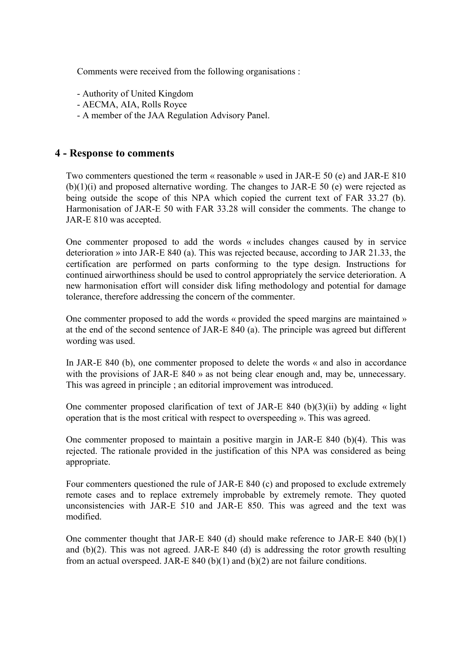Comments were received from the following organisations :

- Authority of United Kingdom
- AECMA, AIA, Rolls Royce
- A member of the JAA Regulation Advisory Panel.

### **4 - Response to comments**

Two commenters questioned the term « reasonable » used in JAR-E 50 (e) and JAR-E 810  $(b)(1)(i)$  and proposed alternative wording. The changes to JAR-E 50 (e) were rejected as being outside the scope of this NPA which copied the current text of FAR 33.27 (b). Harmonisation of JAR-E 50 with FAR 33.28 will consider the comments. The change to JAR-E 810 was accepted.

One commenter proposed to add the words « includes changes caused by in service deterioration » into JAR-E 840 (a). This was rejected because, according to JAR 21.33, the certification are performed on parts conforming to the type design. Instructions for continued airworthiness should be used to control appropriately the service deterioration. A new harmonisation effort will consider disk lifing methodology and potential for damage tolerance, therefore addressing the concern of the commenter.

One commenter proposed to add the words « provided the speed margins are maintained » at the end of the second sentence of JAR-E 840 (a). The principle was agreed but different wording was used.

In JAR-E 840 (b), one commenter proposed to delete the words « and also in accordance with the provisions of JAR-E 840 » as not being clear enough and, may be, unnecessary. This was agreed in principle ; an editorial improvement was introduced.

One commenter proposed clarification of text of JAR-E 840 (b)(3)(ii) by adding  $\alpha$  light operation that is the most critical with respect to overspeeding ». This was agreed.

One commenter proposed to maintain a positive margin in JAR-E 840 (b)(4). This was rejected. The rationale provided in the justification of this NPA was considered as being appropriate.

Four commenters questioned the rule of JAR-E 840 (c) and proposed to exclude extremely remote cases and to replace extremely improbable by extremely remote. They quoted unconsistencies with JAR-E 510 and JAR-E 850. This was agreed and the text was modified.

One commenter thought that JAR-E 840 (d) should make reference to JAR-E 840 (b)(1) and (b)(2). This was not agreed. JAR-E 840 (d) is addressing the rotor growth resulting from an actual overspeed. JAR-E 840 (b)(1) and (b)(2) are not failure conditions.